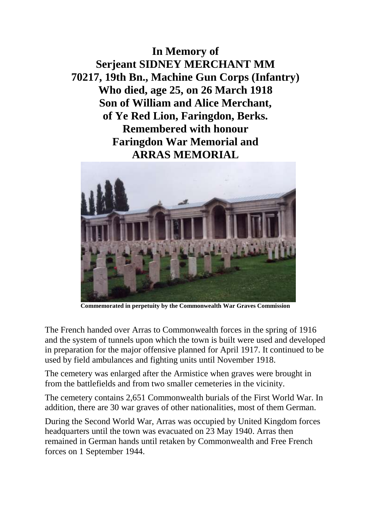**In Memory of Serjeant SIDNEY MERCHANT MM 70217, 19th Bn., Machine Gun Corps (Infantry) Who died, age 25, on 26 March 1918 Son of William and Alice Merchant, of Ye Red Lion, Faringdon, Berks. Remembered with honour Faringdon War Memorial and ARRAS MEMORIAL**



**Commemorated in perpetuity by the Commonwealth War Graves Commission** 

The French handed over Arras to Commonwealth forces in the spring of 1916 and the system of tunnels upon which the town is built were used and developed in preparation for the major offensive planned for April 1917. It continued to be used by field ambulances and fighting units until November 1918.

The cemetery was enlarged after the Armistice when graves were brought in from the battlefields and from two smaller cemeteries in the vicinity.

The cemetery contains 2,651 Commonwealth burials of the First World War. In addition, there are 30 war graves of other nationalities, most of them German.

During the Second World War, Arras was occupied by United Kingdom forces headquarters until the town was evacuated on 23 May 1940. Arras then remained in German hands until retaken by Commonwealth and Free French forces on 1 September 1944.